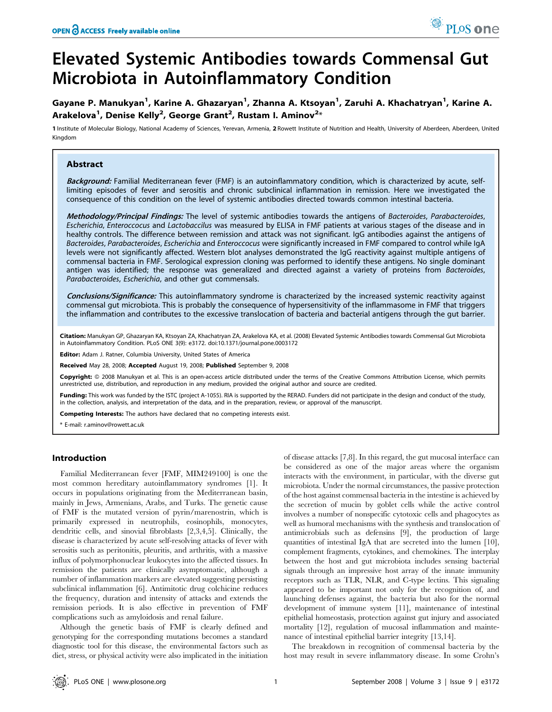# Elevated Systemic Antibodies towards Commensal Gut Microbiota in Autoinflammatory Condition

Gayane P. Manukyan<sup>1</sup>, Karine A. Ghazaryan<sup>1</sup>, Zhanna A. Ktsoyan<sup>1</sup>, Zaruhi A. Khachatryan<sup>1</sup>, Karine A. Arakelova<sup>1</sup>, Denise Kelly<sup>2</sup>, George Grant<sup>2</sup>, Rustam I. Aminov<sup>2</sup>\*

1 Institute of Molecular Biology, National Academy of Sciences, Yerevan, Armenia, 2 Rowett Institute of Nutrition and Health, University of Aberdeen, Aberdeen, United Kingdom

## Abstract

Background: Familial Mediterranean fever (FMF) is an autoinflammatory condition, which is characterized by acute, selflimiting episodes of fever and serositis and chronic subclinical inflammation in remission. Here we investigated the consequence of this condition on the level of systemic antibodies directed towards common intestinal bacteria.

Methodology/Principal Findings: The level of systemic antibodies towards the antigens of Bacteroides, Parabacteroides, Escherichia, Enteroccocus and Lactobaccilus was measured by ELISA in FMF patients at various stages of the disease and in healthy controls. The difference between remission and attack was not significant. IgG antibodies against the antigens of Bacteroides, Parabacteroides, Escherichia and Enteroccocus were significantly increased in FMF compared to control while IgA levels were not significantly affected. Western blot analyses demonstrated the IgG reactivity against multiple antigens of commensal bacteria in FMF. Serological expression cloning was performed to identify these antigens. No single dominant antigen was identified; the response was generalized and directed against a variety of proteins from Bacteroides, Parabacteroides, Escherichia, and other gut commensals.

Conclusions/Significance: This autoinflammatory syndrome is characterized by the increased systemic reactivity against commensal gut microbiota. This is probably the consequence of hypersensitivity of the inflammasome in FMF that triggers the inflammation and contributes to the excessive translocation of bacteria and bacterial antigens through the gut barrier.

Citation: Manukyan GP, Ghazaryan KA, Ktsoyan ZA, Khachatryan ZA, Arakelova KA, et al. (2008) Elevated Systemic Antibodies towards Commensal Gut Microbiota in Autoinflammatory Condition. PLoS ONE 3(9): e3172. doi:10.1371/journal.pone.0003172

Editor: Adam J. Ratner, Columbia University, United States of America

Received May 28, 2008; Accepted August 19, 2008; Published September 9, 2008

Copyright: @ 2008 Manukyan et al. This is an open-access article distributed under the terms of the Creative Commons Attribution License, which permits unrestricted use, distribution, and reproduction in any medium, provided the original author and source are credited.

Funding: This work was funded by the ISTC (project A-1055). RIA is supported by the RERAD. Funders did not participate in the design and conduct of the study, in the collection, analysis, and interpretation of the data, and in the preparation, review, or approval of the manuscript.

Competing Interests: The authors have declared that no competing interests exist.

\* E-mail: r.aminov@rowett.ac.uk

# Introduction

Familial Mediterranean fever [FMF, MIM249100] is one the most common hereditary autoinflammatory syndromes [1]. It occurs in populations originating from the Mediterranean basin, mainly in Jews, Armenians, Arabs, and Turks. The genetic cause of FMF is the mutated version of pyrin/marenostrin, which is primarily expressed in neutrophils, eosinophils, monocytes, dendritic cells, and sinovial fibroblasts [2,3,4,5]. Clinically, the disease is characterized by acute self-resolving attacks of fever with serositis such as peritonitis, pleuritis, and arthritis, with a massive influx of polymorphonuclear leukocytes into the affected tissues. In remission the patients are clinically asymptomatic, although a number of inflammation markers are elevated suggesting persisting subclinical inflammation [6]. Antimitotic drug colchicine reduces the frequency, duration and intensity of attacks and extends the remission periods. It is also effective in prevention of FMF complications such as amyloidosis and renal failure.

Although the genetic basis of FMF is clearly defined and genotyping for the corresponding mutations becomes a standard diagnostic tool for this disease, the environmental factors such as diet, stress, or physical activity were also implicated in the initiation

of disease attacks [7,8]. In this regard, the gut mucosal interface can be considered as one of the major areas where the organism interacts with the environment, in particular, with the diverse gut microbiota. Under the normal circumstances, the passive protection of the host against commensal bacteria in the intestine is achieved by the secretion of mucin by goblet cells while the active control involves a number of nonspecific cytotoxic cells and phagocytes as well as humoral mechanisms with the synthesis and translocation of antimicrobials such as defensins [9], the production of large quantities of intestinal IgA that are secreted into the lumen [10], complement fragments, cytokines, and chemokines. The interplay between the host and gut microbiota includes sensing bacterial signals through an impressive host array of the innate immunity receptors such as TLR, NLR, and C-type lectins. This signaling appeared to be important not only for the recognition of, and launching defenses against, the bacteria but also for the normal development of immune system [11], maintenance of intestinal epithelial homeostasis, protection against gut injury and associated mortality [12], regulation of mucosal inflammation and maintenance of intestinal epithelial barrier integrity [13,14].

The breakdown in recognition of commensal bacteria by the host may result in severe inflammatory disease. In some Crohn's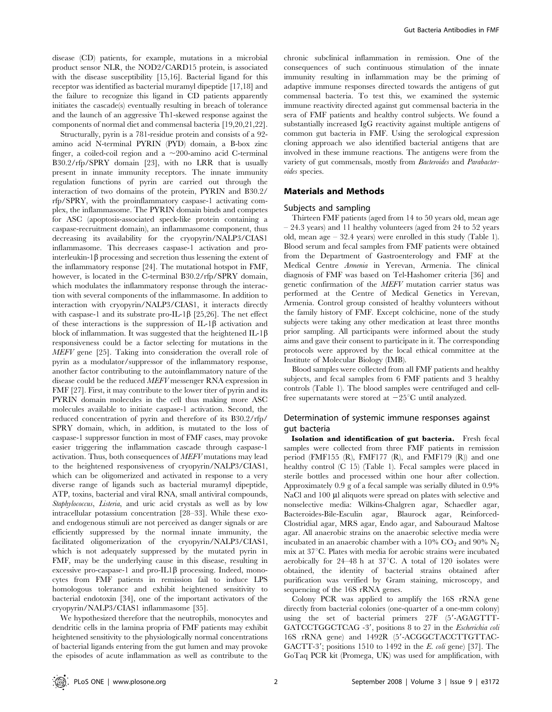disease (CD) patients, for example, mutations in a microbial product sensor NLR, the NOD2/CARD15 protein, is associated with the disease susceptibility [15,16]. Bacterial ligand for this receptor was identified as bacterial muramyl dipeptide [17,18] and the failure to recognize this ligand in CD patients apparently initiates the cascade(s) eventually resulting in breach of tolerance and the launch of an aggressive Th1-skewed response against the components of normal diet and commensal bacteria [19,20,21,22].

Structurally, pyrin is a 781-residue protein and consists of a 92 amino acid N-terminal PYRIN (PYD) domain, a B-box zinc finger, a coiled-coil region and a  $\sim$ 200-amino acid C-terminal B30.2/rfp/SPRY domain [23], with no LRR that is usually present in innate immunity receptors. The innate immunity regulation functions of pyrin are carried out through the interaction of two domains of the protein, PYRIN and B30.2/ rfp/SPRY, with the proinflammatory caspase-1 activating complex, the inflammasome. The PYRIN domain binds and competes for ASC (apoptosis-associated speck-like protein containing a caspase-recruitment domain), an inflammasome component, thus decreasing its availability for the cryopyrin/NALP3/CIAS1 inflammasome. This decreases caspase-1 activation and prointerleukin-1 $\beta$  processing and secretion thus lessening the extent of the inflammatory response [24]. The mutational hotspot in FMF, however, is located in the C-terminal B30.2/rfp/SPRY domain, which modulates the inflammatory response through the interaction with several components of the inflammasome. In addition to interaction with cryopyrin/NALP3/CIAS1, it interacts directly with caspase-1 and its substrate pro-IL-1 $\beta$  [25,26]. The net effect of these interactions is the suppression of IL-1 $\beta$  activation and block of inflammation. It was suggested that the heightened IL-1 $\beta$ responsiveness could be a factor selecting for mutations in the MEFV gene [25]. Taking into consideration the overall role of pyrin as a modulator/suppressor of the inflammatory response, another factor contributing to the autoinflammatory nature of the disease could be the reduced MEFV messenger RNA expression in FMF [27]. First, it may contribute to the lower titer of pyrin and its PYRIN domain molecules in the cell thus making more ASC molecules available to initiate caspase-1 activation. Second, the reduced concentration of pyrin and therefore of its B30.2/rfp/ SPRY domain, which, in addition, is mutated to the loss of caspase-1 suppressor function in most of FMF cases, may provoke easier triggering the inflammation cascade through caspase-1 activation. Thus, both consequences of MEFV mutations may lead to the heightened responsiveness of cryopyrin/NALP3/CIAS1, which can be oligomerized and activated in response to a very diverse range of ligands such as bacterial muramyl dipeptide, ATP, toxins, bacterial and viral RNA, small antiviral compounds, Staphylococcus, Listeria, and uric acid crystals as well as by low intracellular potassium concentration [28–33]. While these exoand endogenous stimuli are not perceived as danger signals or are efficiently suppressed by the normal innate immunity, the facilitated oligomerization of the cryopyrin/NALP3/CIAS1, which is not adequately suppressed by the mutated pyrin in FMF, may be the underlying cause in this disease, resulting in excessive pro-caspase-1 and pro-IL1 $\beta$  processing. Indeed, monocytes from FMF patients in remission fail to induce LPS homologous tolerance and exhibit heightened sensitivity to bacterial endotoxin [34], one of the important activators of the cryopyrin/NALP3/CIAS1 inflammasome [35].

We hypothesized therefore that the neutrophils, monocytes and dendritic cells in the lamina propria of FMF patients may exhibit heightened sensitivity to the physiologically normal concentrations of bacterial ligands entering from the gut lumen and may provoke the episodes of acute inflammation as well as contribute to the

chronic subclinical inflammation in remission. One of the consequences of such continuous stimulation of the innate immunity resulting in inflammation may be the priming of adaptive immune responses directed towards the antigens of gut commensal bacteria. To test this, we examined the systemic immune reactivity directed against gut commensal bacteria in the sera of FMF patients and healthy control subjects. We found a substantially increased IgG reactivity against multiple antigens of common gut bacteria in FMF. Using the serological expression cloning approach we also identified bacterial antigens that are involved in these immune reactions. The antigens were from the variety of gut commensals, mostly from Bacteroides and Parabacteroides species.

# Materials and Methods

## Subjects and sampling

Thirteen FMF patients (aged from 14 to 50 years old, mean age – 24.3 years) and 11 healthy volunteers (aged from 24 to 52 years old, mean age – 32.4 years) were enrolled in this study (Table 1). Blood serum and fecal samples from FMF patients were obtained from the Department of Gastroenterology and FMF at the Medical Centre Armenia in Yerevan, Armenia. The clinical diagnosis of FMF was based on Tel-Hashomer criteria [36] and genetic confirmation of the MEFV mutation carrier status was performed at the Centre of Medical Genetics in Yerevan, Armenia. Control group consisted of healthy volunteers without the family history of FMF. Except colchicine, none of the study subjects were taking any other medication at least three months prior sampling. All participants were informed about the study aims and gave their consent to participate in it. The corresponding protocols were approved by the local ethical committee at the Institute of Molecular Biology (IMB).

Blood samples were collected from all FMF patients and healthy subjects, and fecal samples from 6 FMF patients and 3 healthy controls (Table 1). The blood samples were centrifuged and cellfree supernatants were stored at  $-25^{\circ}$ C until analyzed.

# Determination of systemic immune responses against gut bacteria

Isolation and identification of gut bacteria. Fresh fecal samples were collected from three FMF patients in remission period (FMF155 (R), FMF177 (R), and FMF179 (R)) and one healthy control (C 15) (Table 1). Fecal samples were placed in sterile bottles and processed within one hour after collection. Approximately 0.9 g of a fecal sample was serially diluted in 0.9% NaCl and 100 µl aliquots were spread on plates with selective and nonselective media: Wilkins-Chalgren agar, Schaedler agar, Bacteroides-Bile-Esculin agar, Blaurock agar, Reinforced-Clostridial agar, MRS agar, Endo agar, and Sabouraud Maltose agar. All anaerobic strains on the anaerobic selective media were incubated in an anaerobic chamber with a 10%  $CO_2$  and 90%  $N_2$ mix at  $37^{\circ}$ C. Plates with media for aerobic strains were incubated aerobically for  $24-48$  h at  $37^{\circ}$ C. A total of 120 isolates were obtained, the identity of bacterial strains obtained after purification was verified by Gram staining, microscopy, and sequencing of the 16S rRNA genes.

Colony PCR was applied to amplify the 16S rRNA gene directly from bacterial colonies (one-quarter of a one-mm colony) using the set of bacterial primers 27F (5'-AGAGTTT-GATCCTGGCTCAG -3', positions 8 to 27 in the Escherichia coli 16S rRNA gene) and 1492R (5'-ACGGCTACCTTGTTAC-GACTT-3'; positions 1510 to 1492 in the  $E$ . coli gene) [37]. The GoTaq PCR kit (Promega, UK) was used for amplification, with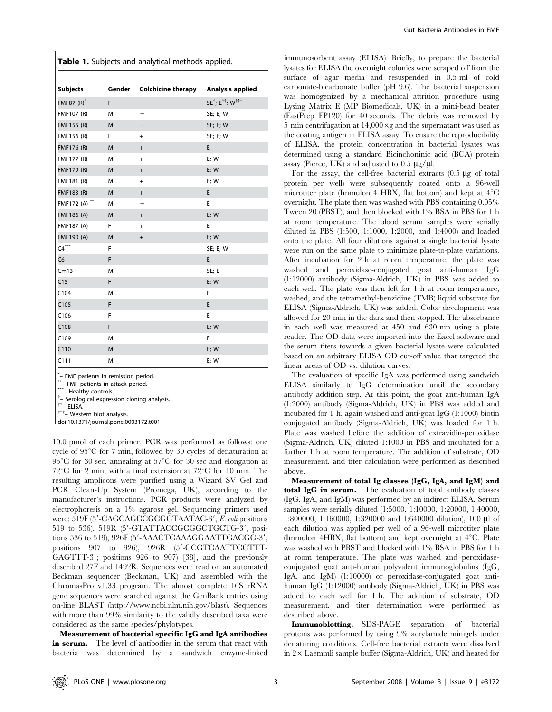Table 1. Subjects and analytical methods applied.

| <b>Subjects</b> |   | Gender Colchicine therapy | Analysis applied                                     |
|-----------------|---|---------------------------|------------------------------------------------------|
| FMF87 $(R)^*$   | F |                           | SE <sup>t</sup> : E <sup>tt</sup> : W <sup>†††</sup> |
| FMF107 (R)      | M |                           | SE; E; W                                             |
| FMF155 (R)      | M | ۳                         | SE; E; W                                             |
| FMF156 (R)      | F | $^{+}$                    | SE; E; W                                             |
| FMF176 (R)      | M | $^{+}$                    | E                                                    |
| FMF177 (R)      | M | $^{+}$                    | E; W                                                 |
| FMF179 (R)      | M | $+$                       | E; W                                                 |
| FMF181 (R)      | M | $+$                       | E; W                                                 |
| FMF183 (R)      | M | $\qquad \qquad +$         | E                                                    |
| FMF172 (A) **   | M | -                         | E                                                    |
| FMF186 (A)      | M | $^{+}$                    | E; W                                                 |
| FMF187 (A)      | F | $+$                       | E                                                    |
| FMF190 (A)      | M | $\! + \!\!\!\!$           | E; W                                                 |
| $CA^{***}$      | F |                           | SE; E; W                                             |
| C <sub>6</sub>  | F |                           | E                                                    |
| Cm13            | M |                           | SE; E                                                |
| C15             | F |                           | E; W                                                 |
| C104            | M |                           | E                                                    |
| C105            | F |                           | E                                                    |
| C106            | F |                           | E                                                    |
| C108            | F |                           | E; W                                                 |
| C109            | M |                           | E                                                    |
| C110            | M |                           | E; W                                                 |
| C111            | M |                           | E; W                                                 |

\* – FMF patients in remission period.

- FMF patients in attack period.

\*\*\*- Healthy controls.

 $^\dagger$ – Serological expression cloning analysis.

 $^{\dagger\dagger}$  ELISA.

{{{– Western blot analysis.

doi:10.1371/journal.pone.0003172.t001

10.0 pmol of each primer. PCR was performed as follows: one cycle of  $95^{\circ}$ C for 7 min, followed by 30 cycles of denaturation at  $95^{\circ}$ C for 30 sec, annealing at  $57^{\circ}$ C for 30 sec and elongation at  $72^{\circ}$ C for 2 min, with a final extension at  $72^{\circ}$ C for 10 min. The resulting amplicons were purified using a Wizard SV Gel and PCR Clean-Up System (Promega, UK), according to the manufacturer's instructions. PCR products were analyzed by electrophoresis on a 1% agarose gel. Sequencing primers used were: 519F (5'-CAGCAGCCGGGGTAATAC-3', E. coli positions  $519$  to  $536$ ),  $519R$  ( $5'$ -GTATTACCGCGGCTGCTG-3', positions 536 to 519),  $926F$  (5'-AAACTCAAAGGAATTGACGG-3', positions 907 to 926), 926R (5'-CCGTCAATTCCTTT-GAGTTT-3'; positions  $926$  to  $907$  [38], and the previously described 27F and 1492R. Sequences were read on an automated Beckman sequencer (Beckman, UK) and assembled with the ChromasPro v1.33 program. The almost complete 16S rRNA gene sequences were searched against the GenBank entries using on-line BLAST (http://www.ncbi.nlm.nih.gov/blast). Sequences with more than 99% similarity to the validly described taxa were considered as the same species/phylotypes.

Measurement of bacterial specific IgG and IgA antibodies in serum. The level of antibodies in the serum that react with bacteria was determined by a sandwich enzyme-linked immunosorbent assay (ELISA). Briefly, to prepare the bacterial lysates for ELISA the overnight colonies were scraped off from the surface of agar media and resuspended in 0.5 ml of cold carbonate-bicarbonate buffer (pH 9.6). The bacterial suspension was homogenized by a mechanical attrition procedure using Lysing Matrix E (MP Biomedicals, UK) in a mini-bead beater (FastPrep FP120) for 40 seconds. The debris was removed by 5 min centrifugation at  $14,000 \times g$  and the supernatant was used as the coating antigen in ELISA assay. To ensure the reproducibility of ELISA, the protein concentration in bacterial lysates was determined using a standard Bicinchoninic acid (BCA) protein assay (Pierce, UK) and adjusted to  $0.5 \text{ Hz/ul.}$ 

For the assay, the cell-free bacterial extracts  $(0.5 \text{ }\mu\text{)}$  of total protein per well) were subsequently coated onto a 96-well microtiter plate (Immulon 4 HBX, flat bottom) and kept at  $4^{\circ}$ C overnight. The plate then was washed with PBS containing 0.05% Tween 20 (PBST), and then blocked with 1% BSA in PBS for 1 h at room temperature. The blood serum samples were serially diluted in PBS (1:500, 1:1000, 1:2000, and 1:4000) and loaded onto the plate. All four dilutions against a single bacterial lysate were run on the same plate to minimize plate-to-plate variations. After incubation for 2 h at room temperature, the plate was washed and peroxidase-conjugated goat anti-human IgG (1:12000) antibody (Sigma-Aldrich, UK) in PBS was added to each well. The plate was then left for 1 h at room temperature, washed, and the tetramethyl-benzidine (TMB) liquid substrate for ELISA (Sigma-Aldrich, UK) was added. Color development was allowed for 20 min in the dark and then stopped. The absorbance in each well was measured at 450 and 630 nm using a plate reader. The OD data were imported into the Excel software and the serum titers towards a given bacterial lysate were calculated based on an arbitrary ELISA OD cut-off value that targeted the linear areas of OD vs. dilution curves.

The evaluation of specific IgA was performed using sandwich ELISA similarly to IgG determination until the secondary antibody addition step. At this point, the goat anti-human IgA (1:2000) antibody (Sigma-Aldrich, UK) in PBS was added and incubated for 1 h, again washed and anti-goat IgG (1:1000) biotin conjugated antibody (Sigma-Aldrich, UK) was loaded for 1 h. Plate was washed before the addition of extravidin-peroxidase (Sigma-Aldrich, UK) diluted 1:1000 in PBS and incubated for a further 1 h at room temperature. The addition of substrate, OD measurement, and titer calculation were performed as described above.

Measurement of total Ig classes (IgG, IgA, and IgM) and total IgG in serum. The evaluation of total antibody classes (IgG, IgA, and IgM) was performed by an indirect ELISA. Serum samples were serially diluted (1:5000, 1:10000, 1:20000, 1:40000, 1:800000, 1:160000, 1:320000 and 1:640000 dilution), 100 µl of each dilution was applied per well of a 96-well microtiter plate (Immulon 4HBX, flat bottom) and kept overnight at  $4^{\circ}$ C. Plate was washed with PBST and blocked with 1% BSA in PBS for 1 h at room temperature. The plate was washed and peroxidaseconjugated goat anti-human polyvalent immunoglobulins (IgG, IgA, and IgM) (1:10000) or peroxidase-conjugated goat antihuman IgG (1:12000) antibody (Sigma-Aldrich, UK) in PBS was added to each well for 1 h. The addition of substrate, OD measurement, and titer determination were performed as described above.

Immunoblotting. SDS-PAGE separation of bacterial proteins was performed by using 9% acrylamide minigels under denaturing conditions. Cell-free bacterial extracts were dissolved in  $2 \times$  Laemmli sample buffer (Sigma-Aldrich, UK) and heated for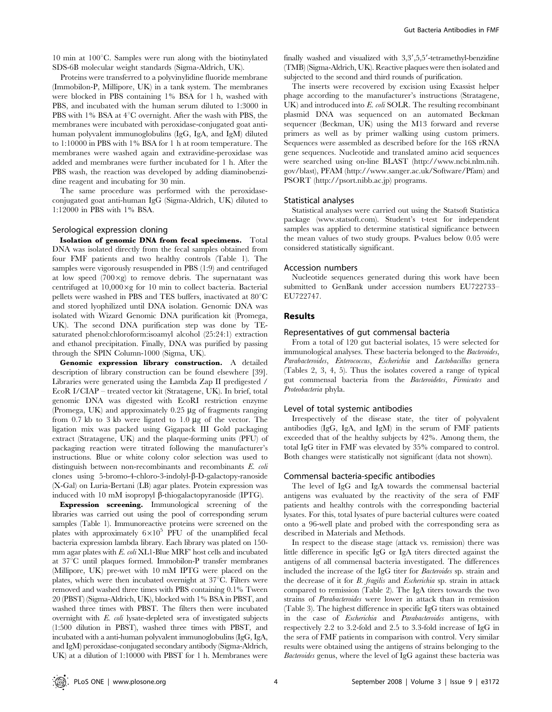$10 \text{ min at } 100^{\circ}\text{C}$ . Samples were run along with the biotinylated SDS-6B molecular weight standards (Sigma-Aldrich, UK).

Proteins were transferred to a polyvinylidine fluoride membrane (Immobilon-P, Millipore, UK) in a tank system. The membranes were blocked in PBS containing 1% BSA for 1 h, washed with PBS, and incubated with the human serum diluted to 1:3000 in PBS with  $1\%$  BSA at  $4^{\circ}$ C overnight. After the wash with PBS, the membranes were incubated with peroxidase-conjugated goat antihuman polyvalent immunoglobulins (IgG, IgA, and IgM) diluted to 1:10000 in PBS with 1% BSA for 1 h at room temperature. The membranes were washed again and extravidine-peroxidase was added and membranes were further incubated for 1 h. After the PBS wash, the reaction was developed by adding diaminobenzidine reagent and incubating for 30 min.

The same procedure was performed with the peroxidaseconjugated goat anti-human IgG (Sigma-Aldrich, UK) diluted to 1:12000 in PBS with 1% BSA.

## Serological expression cloning

Isolation of genomic DNA from fecal specimens. Total DNA was isolated directly from the fecal samples obtained from four FMF patients and two healthy controls (Table 1). The samples were vigorously resuspended in PBS (1:9) and centrifuged at low speed  $(700 \times g)$  to remove debris. The supernatant was centrifuged at  $10,000 \times g$  for 10 min to collect bacteria. Bacterial pellets were washed in PBS and TES buffers, inactivated at  $80^{\circ}$ C and stored lyophilized until DNA isolation. Genomic DNA was isolated with Wizard Genomic DNA purification kit (Promega, UK). The second DNA purification step was done by TEsaturated phenol:chloroform:isoamyl alcohol (25:24:1) extraction and ethanol precipitation. Finally, DNA was purified by passing through the SPIN Column-1000 (Sigma, UK).

Genomic expression library construction. A detailed description of library construction can be found elsewhere [39]. Libraries were generated using the Lambda Zap II predigested / EcoR I/CIAP – treated vector kit (Stratagene, UK). In brief, total genomic DNA was digested with EcoRI restriction enzyme (Promega, UK) and approximately  $0.25 \mu$ g of fragments ranging from 0.7 kb to 3 kb were ligated to 1.0  $\mu$ g of the vector. The ligation mix was packed using Gigapack III Gold packaging extract (Stratagene, UK) and the plaque-forming units (PFU) of packaging reaction were titrated following the manufacturer's instructions. Blue or white colony color selection was used to distinguish between non-recombinants and recombinants E. coli clones using  $5$ -bromo-4-chloro-3-indolyl- $\beta$ -D-galactopy-ranoside (X-Gal) on Luria-Bertani (LB) agar plates. Protein expression was induced with 10 mM isopropyl  $\beta$ -thiogalactopyranoside (IPTG).

Expression screening. Immunological screening of the libraries was carried out using the pool of corresponding serum samples (Table 1). Immunoreactive proteins were screened on the plates with approximately  $6 \times 10^5$  PFU of the unamplified fecal bacteria expression lambda library. Each library was plated on 150 mm agar plates with E. coli XL1-Blue MRF' host cells and incubated at  $37^{\circ}$ C until plaques formed. Immobilon-P transfer membranes (Millipore, UK) pre-wet with 10 mM IPTG were placed on the plates, which were then incubated overnight at  $37^{\circ}$ C. Filters were removed and washed three times with PBS containing 0.1% Tween 20 (PBST) (Sigma-Aldrich, UK), blocked with 1% BSA in PBST, and washed three times with PBST. The filters then were incubated overnight with E. coli lysate-depleted sera of investigated subjects (1:500 dilution in PBST), washed three times with PBST, and incubated with a anti-human polyvalent immunoglobulins (IgG, IgA, and IgM) peroxidase-conjugated secondary antibody (Sigma-Aldrich, UK) at a dilution of 1:10000 with PBST for 1 h. Membranes were

finally washed and visualized with  $3,3',5,5'$ -tetramethyl-benzidine (TMB) (Sigma-Aldrich, UK). Reactive plaques were then isolated and subjected to the second and third rounds of purification.

The inserts were recovered by excision using Exassist helper phage according to the manufacturer's instructions (Stratagene, UK) and introduced into E. coli SOLR. The resulting recombinant plasmid DNA was sequenced on an automated Beckman sequencer (Beckman, UK) using the M13 forward and reverse primers as well as by primer walking using custom primers. Sequences were assembled as described before for the 16S rRNA gene sequences. Nucleotide and translated amino acid sequences were searched using on-line BLAST (http://www.ncbi.nlm.nih. gov/blast), PFAM (http://www.sanger.ac.uk/Software/Pfam) and PSORT (http://psort.nibb.ac.jp) programs.

#### Statistical analyses

Statistical analyses were carried out using the Statsoft Statistica package (www.statsoft.com). Student's t-test for independent samples was applied to determine statistical significance between the mean values of two study groups. P-values below 0.05 were considered statistically significant.

#### Accession numbers

Nucleotide sequences generated during this work have been submitted to GenBank under accession numbers EU722733– EU722747.

# Results

# Representatives of gut commensal bacteria

From a total of 120 gut bacterial isolates, 15 were selected for immunological analyses. These bacteria belonged to the Bacteroides, Parabacteroides, Enterococcus, Escherichia and Lactobacillus genera (Tables 2, 3, 4, 5). Thus the isolates covered a range of typical gut commensal bacteria from the Bacteroidetes, Firmicutes and Proteobacteria phyla.

#### Level of total systemic antibodies

Irrespectively of the disease state, the titer of polyvalent antibodies (IgG, IgA, and IgM) in the serum of FMF patients exceeded that of the healthy subjects by 42%. Among them, the total IgG titer in FMF was elevated by 35% compared to control. Both changes were statistically not significant (data not shown).

#### Commensal bacteria-specific antibodies

The level of IgG and IgA towards the commensal bacterial antigens was evaluated by the reactivity of the sera of FMF patients and healthy controls with the corresponding bacterial lysates. For this, total lysates of pure bacterial cultures were coated onto a 96-well plate and probed with the corresponding sera as described in Materials and Methods.

In respect to the disease stage (attack vs. remission) there was little difference in specific IgG or IgA titers directed against the antigens of all commensal bacteria investigated. The differences included the increase of the IgG titer for Bacteroides sp. strain and the decrease of it for B. fragilis and Escherichia sp. strain in attack compared to remission (Table 2). The IgA titers towards the two strains of Parabacteroides were lower in attack than in remission (Table 3). The highest difference in specific IgG titers was obtained in the case of Escherichia and Parabacteroides antigens, with respectively 2.2 to 3.2-fold and 2.5 to 3.3-fold increase of IgG in the sera of FMF patients in comparison with control. Very similar results were obtained using the antigens of strains belonging to the Bacteroides genus, where the level of IgG against these bacteria was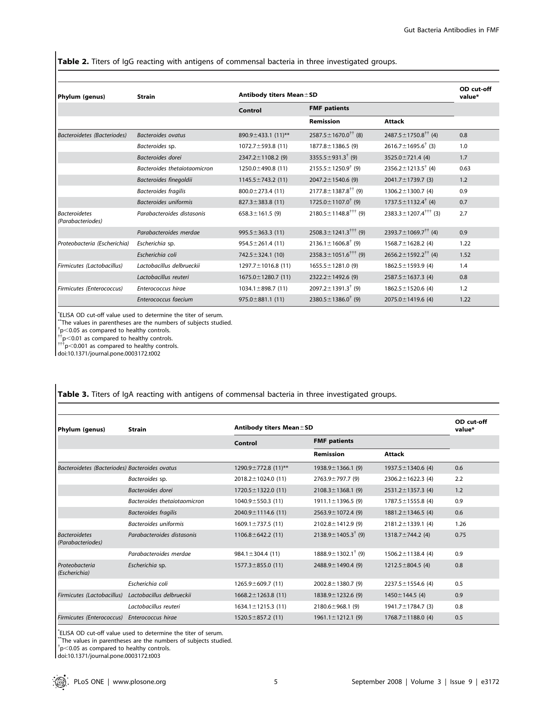Table 2. Titers of IgG reacting with antigens of commensal bacteria in three investigated groups.

| Phylum (genus)                            | <b>Strain</b>                | Antibody titers Mean ± SD |                                                 |                                                 | OD cut-off<br>value* |
|-------------------------------------------|------------------------------|---------------------------|-------------------------------------------------|-------------------------------------------------|----------------------|
|                                           |                              | Control                   | <b>FMF</b> patients                             |                                                 |                      |
|                                           |                              |                           | Remission                                       | <b>Attack</b>                                   |                      |
| Bacteroidetes (Bacteriodes)               | <b>Bacteroides</b> ovatus    | 890.9±433.1 (11)**        | $2587.5 \pm 1670.0^{\dagger \dagger}$ (8)       | $2487.5 \pm 1750.8^{\dagger\dagger}$ (4)        | 0.8                  |
|                                           | Bacteroides sp.              | $1072.7 \pm 593.8$ (11)   | $1877.8 \pm 1386.5$ (9)                         | $2616.7 \pm 1695.6^{\dagger}$ (3)               | 1.0                  |
|                                           | Bacteroides dorei            | $2347.2 \pm 1108.2$ (9)   | $3355.5 \pm 931.3^{\dagger}$ (9)                | 3525.0 $\pm$ 721.4 (4)                          | 1.7                  |
|                                           | Bacteroides thetaiotaomicron | $1250.0 \pm 490.8$ (11)   | $2155.5 \pm 1250.9^{\dagger}$ (9)               | $2356.2 \pm 1213.5^{\dagger}$ (4)               | 0.63                 |
|                                           | Bacteroides finegoldii       | $1145.5 \pm 743.2$ (11)   | $2047.2 \pm 1540.6$ (9)                         | $2041.7 \pm 1739.7$ (3)                         | 1.2                  |
|                                           | Bacteroides fragilis         | $800.0 \pm 273.4(11)$     | $2177.8 \pm 1387.8^{\dagger\dagger}$ (9)        | $1306.2 \pm 1300.7$ (4)                         | 0.9                  |
|                                           | Bacteroides uniformis        | $827.3 \pm 383.8$ (11)    | $1725.0 \pm 1107.0^{\dagger}$ (9)               | $1737.5 \pm 1132.4^{\dagger}$ (4)               | 0.7                  |
| <b>Bacteroidetes</b><br>(Parabacteriodes) | Parabacteroides distasonis   | $658.3 \pm 161.5$ (9)     | $2180.5 \pm 1148.8^{\dagger + \dagger}$ (9)     | $2383.3 \pm 1207.4^{\dagger\dagger\dagger}$ (3) | 2.7                  |
|                                           | Parabacteroides merdae       | $995.5 \pm 363.3$ (11)    | $2508.3 \pm 1241.3^{\dagger\dagger\dagger}$ (9) | 2393.7 $\pm$ 1069.7 <sup>††</sup> (4)           | 0.9                  |
| Proteobacteria (Escherichia)              | Escherichia sp.              | $954.5 \pm 261.4(11)$     | $2136.1 \pm 1606.8^{\dagger}$ (9)               | $1568.7 \pm 1628.2$ (4)                         | 1.22                 |
|                                           | Escherichia coli             | $742.5 \pm 324.1$ (10)    | $2358.3 \pm 1051.6^{\dagger\dagger\dagger}$ (9) | $2656.2 \pm 1592.2^{\dagger\dagger}$ (4)        | 1.52                 |
| Firmicutes (Lactobacillus)                | Lactobacillus delbrueckii    | $1297.7 \pm 1016.8$ (11)  | $1655.5 \pm 1281.0$ (9)                         | $1862.5 \pm 1593.9$ (4)                         | 1.4                  |
|                                           | Lactobacillus reuteri        | $1675.0 \pm 1280.7$ (11)  | $2322.2 \pm 1492.6$ (9)                         | $2587.5 \pm 1637.3$ (4)                         | 0.8                  |
| Firmicutes (Enterococcus)                 | Enterococcus hirae           | $1034.1 \pm 898.7$ (11)   | $2097.2 \pm 1391.3^{\dagger}$ (9)               | $1862.5 \pm 1520.6$ (4)                         | 1.2                  |
|                                           | Enterococcus faecium         | $975.0 \pm 881.1$ (11)    | $2380.5 \pm 1386.0^{\dagger}$ (9)               | $2075.0 \pm 1419.6$ (4)                         | 1.22                 |

\* ELISA OD cut-off value used to determine the titer of serum.

\*\*The values in parentheses are the numbers of subjects studied.

 $^{\dagger}$ p<0.05 as compared to healthy controls.<br> $^{\dagger\dagger}$ p<0.01 as compared to healthy controls.<br> $^{\dagger\dagger\dagger}$ p<0.001 as compared to healthy controls.

doi:10.1371/journal.pone.0003172.t002

| Phylum (genus)                                 | <b>Strain</b>                | Antibody titers Mean±SD  |                                   |                         | OD cut-off<br>value* |
|------------------------------------------------|------------------------------|--------------------------|-----------------------------------|-------------------------|----------------------|
|                                                |                              | Control                  | <b>FMF</b> patients               |                         |                      |
|                                                |                              |                          | <b>Remission</b>                  | <b>Attack</b>           |                      |
| Bacteroidetes (Bacteriodes) Bacteroides ovatus |                              | 1290.9 ± 772.8 $(11)$ ** | $1938.9 \pm 1366.1$ (9)           | $1937.5 \pm 1340.6$ (4) | 0.6                  |
|                                                | Bacteroides sp.              | $2018.2 \pm 1024.0$ (11) | 2763.9±797.7 (9)                  | $2306.2 \pm 1622.3$ (4) | 2.2                  |
|                                                | Bacteroides dorei            | $1720.5 \pm 1322.0$ (11) | $2108.3 \pm 1368.1$ (9)           | $2531.2 \pm 1357.3$ (4) | 1.2                  |
|                                                | Bacteroides thetaiotaomicron | $1040.9 \pm 550.3$ (11)  | $1911.1 \pm 1396.5$ (9)           | $1787.5 \pm 1555.8$ (4) | 0.9                  |
|                                                | <b>Bacteroides fragilis</b>  | $2040.9 \pm 1114.6$ (11) | $2563.9 \pm 1072.4$ (9)           | $1881.2 \pm 1346.5$ (4) | 0.6                  |
|                                                | Bacteroides uniformis        | $1609.1 \pm 737.5$ (11)  | $2102.8 \pm 1412.9$ (9)           | $2181.2 \pm 1339.1$ (4) | 1.26                 |
| <b>Bacteroidetes</b><br>(Parabacteriodes)      | Parabacteroides distasonis   | 1106.8 $\pm$ 642.2 (11)  | $2138.9 \pm 1405.3^{\dagger}$ (9) | 1318.7 $\pm$ 744.2 (4)  | 0.75                 |
|                                                | Parabacteroides merdae       | $984.1 \pm 304.4$ (11)   | $1888.9 \pm 1302.1^{\dagger}$ (9) | $1506.2 \pm 1138.4$ (4) | 0.9                  |
| Proteobacteria<br>(Escherichia)                | Escherichia sp.              | $1577.3 \pm 855.0$ (11)  | 2488.9 ± 1490.4 (9)               | 1212.5 $\pm$ 804.5 (4)  | 0.8                  |
|                                                | Escherichia coli             | $1265.9 \pm 609.7(11)$   | $2002.8 \pm 1380.7$ (9)           | $2237.5 \pm 1554.6$ (4) | 0.5                  |
| Firmicutes (Lactobacillus)                     | Lactobacillus delbrueckii    | $1668.2 \pm 1263.8$ (11) | $1838.9 \pm 1232.6$ (9)           | $1450 \pm 144.5$ (4)    | 0.9                  |
|                                                | Lactobacillus reuteri        | $1634.1 \pm 1215.3$ (11) | $2180.6 \pm 968.1$ (9)            | $1941.7 \pm 1784.7$ (3) | 0.8                  |
| Firmicutes (Enterococcus)                      | Enterococcus hirae           | $1520.5 \pm 857.2$ (11)  | $1961.1 \pm 1212.1$ (9)           | $1768.7 \pm 1188.0$ (4) | 0.5                  |

Table 3. Titers of IgA reacting with antigens of commensal bacteria in three investigated groups.

\* ELISA OD cut-off value used to determine the titer of serum. \*\*The values in parentheses are the numbers of subjects studied. { p,0.05 as compared to healthy controls.

doi:10.1371/journal.pone.0003172.t003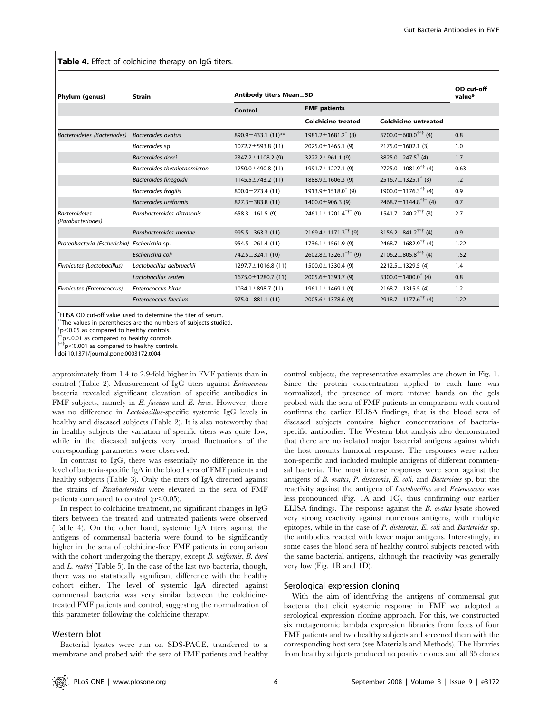Table 4. Effect of colchicine therapy on IqG titers.

| Phylum (genus)                               | <b>Strain</b>                | Antibody titers Mean ± SD |                                                 |                                                 | OD cut-off<br>value* |
|----------------------------------------------|------------------------------|---------------------------|-------------------------------------------------|-------------------------------------------------|----------------------|
|                                              |                              | Control                   | <b>FMF</b> patients                             |                                                 |                      |
|                                              |                              |                           | <b>Colchicine treated</b>                       | <b>Colchicine untreated</b>                     |                      |
| Bacteroidetes (Bacteriodes)                  | Bacteroides ovatus           | 890.9±433.1 (11)**        | 1981.2 $\pm$ 1681.2 <sup>†</sup> (8)            | 3700.0 $\pm$ 600.0 <sup>†††</sup> (4)           | 0.8                  |
|                                              | Bacteroides sp.              | $1072.7 \pm 593.8$ (11)   | $2025.0 \pm 1465.1$ (9)                         | $2175.0 \pm 1602.1$ (3)                         | 1.0                  |
|                                              | Bacteroides dorei            | $2347.2 \pm 1108.2$ (9)   | $3222.2 \pm 961.1$ (9)                          | 3825.0 $\pm$ 247.5 <sup>†</sup> (4)             | 1.7                  |
|                                              | Bacteroides thetaiotaomicron | $1250.0 \pm 490.8$ (11)   | $1991.7 \pm 1227.1$ (9)                         | $2725.0 \pm 1081.9^{\dagger\dagger}$ (4)        | 0.63                 |
|                                              | Bacteroides finegoldii       | $1145.5 \pm 743.2$ (11)   | $1888.9 \pm 1606.3$ (9)                         | $2516.7 \pm 1325.1^{\dagger}$ (3)               | 1.2                  |
|                                              | Bacteroides fragilis         | $800.0 \pm 273.4(11)$     | $1913.9 \pm 1518.0^{\dagger}$ (9)               | $1900.0 \pm 1176.3^{\dagger\dagger}$ (4)        | 0.9                  |
|                                              | Bacteroides uniformis        | $827.3 \pm 383.8$ (11)    | $1400.0 \pm 906.3$ (9)                          | $2468.7 \pm 1144.8^{\dagger\dagger\dagger}$ (4) | 0.7                  |
| <b>Bacteroidetes</b><br>(Parabacteriodes)    | Parabacteroides distasonis   | 658.3 $\pm$ 161.5 (9)     | $2461.1 \pm 1201.4$ <sup>†††</sup> (9)          | $1541.7 \pm 240.2$ <sup>†††</sup> (3)           | 2.7                  |
|                                              | Parabacteroides merdae       | $995.5 \pm 363.3$ (11)    | $2169.4 \pm 1171.3^{\dagger\dagger}$ (9)        | $3156.2 \pm 841.2^{\dagger\dagger\dagger}$ (4)  | 0.9                  |
| Proteobacteria (Escherichia) Escherichia sp. |                              | $954.5 \pm 261.4(11)$     | $1736.1 \pm 1561.9$ (9)                         | 2468.7 ± 1682.9 <sup>††</sup> (4)               | 1.22                 |
|                                              | Escherichia coli             | $742.5 \pm 324.1$ (10)    | $2602.8 \pm 1326.1^{\dagger\dagger\dagger}$ (9) | $2106.2 \pm 805.8^{\dagger\dagger\dagger}$ (4)  | 1.52                 |
| Firmicutes (Lactobacillus)                   | Lactobacillus delbrueckii    | $1297.7 \pm 1016.8$ (11)  | $1500.0 \pm 1330.4$ (9)                         | $2212.5 \pm 1329.5$ (4)                         | 1.4                  |
|                                              | Lactobacillus reuteri        | $1675.0 \pm 1280.7$ (11)  | 2005.6 $\pm$ 1393.7 (9)                         | 3300.0 $\pm$ 1400.0 <sup>†</sup> (4)            | 0.8                  |
| Firmicutes (Enterococcus)                    | Enterococcus hirae           | $1034.1 \pm 898.7$ (11)   | $1961.1 \pm 1469.1$ (9)                         | $2168.7 \pm 1315.5$ (4)                         | 1.2                  |
|                                              | Enterococcus faecium         | $975.0 \pm 881.1$ (11)    | $2005.6 \pm 1378.6$ (9)                         | 2918.7 $\pm$ 1177.6 <sup>††</sup> (4)           | 1.22                 |

\* ELISA OD cut-off value used to determine the titer of serum.

\*\*The values in parentheses are the numbers of subjects studied.

 $\phi$  to  $\approx$  0.05 as compared to healthy controls.

 $\frac{d}{d}$ p $<$ 0.01 as compared to healthy controls.<br> $\frac{d}{d}$ n $<$ 0.001 as compared to healthy controls.

doi:10.1371/journal.pone.0003172.t004

approximately from 1.4 to 2.9-fold higher in FMF patients than in control (Table 2). Measurement of IgG titers against Enterococcus bacteria revealed significant elevation of specific antibodies in FMF subjects, namely in E. faecium and E. hirae. However, there was no difference in Lactobacillus-specific systemic IgG levels in healthy and diseased subjects (Table 2). It is also noteworthy that in healthy subjects the variation of specific titers was quite low, while in the diseased subjects very broad fluctuations of the corresponding parameters were observed.

In contrast to IgG, there was essentially no difference in the level of bacteria-specific IgA in the blood sera of FMF patients and healthy subjects (Table 3). Only the titers of IgA directed against the strains of Parabacteroides were elevated in the sera of FMF patients compared to control  $(p<0.05)$ .

In respect to colchicine treatment, no significant changes in IgG titers between the treated and untreated patients were observed (Table 4). On the other hand, systemic IgA titers against the antigens of commensal bacteria were found to be significantly higher in the sera of colchicine-free FMF patients in comparison with the cohort undergoing the therapy, except B. uniformis, B. dorei and L. reuteri (Table 5). In the case of the last two bacteria, though, there was no statistically significant difference with the healthy cohort either. The level of systemic IgA directed against commensal bacteria was very similar between the colchicinetreated FMF patients and control, suggesting the normalization of this parameter following the colchicine therapy.

## Western blot

Bacterial lysates were run on SDS-PAGE, transferred to a membrane and probed with the sera of FMF patients and healthy control subjects, the representative examples are shown in Fig. 1. Since the protein concentration applied to each lane was normalized, the presence of more intense bands on the gels probed with the sera of FMF patients in comparison with control confirms the earlier ELISA findings, that is the blood sera of diseased subjects contains higher concentrations of bacteriaspecific antibodies. The Western blot analysis also demonstrated that there are no isolated major bacterial antigens against which the host mounts humoral response. The responses were rather non-specific and included multiple antigens of different commensal bacteria. The most intense responses were seen against the antigens of B. ovatus, P. distasonis, E. coli, and Bacteroides sp. but the reactivity against the antigens of *Lactobacillus* and *Enterococcus* was less pronounced (Fig. 1A and 1C), thus confirming our earlier ELISA findings. The response against the B. ovatus lysate showed very strong reactivity against numerous antigens, with multiple epitopes, while in the case of P. distasonis, E. coli and Bacteroides sp. the antibodies reacted with fewer major antigens. Interestingly, in some cases the blood sera of healthy control subjects reacted with the same bacterial antigens, although the reactivity was generally very low (Fig. 1B and 1D).

## Serological expression cloning

With the aim of identifying the antigens of commensal gut bacteria that elicit systemic response in FMF we adopted a serological expression cloning approach. For this, we constructed six metagenomic lambda expression libraries from feces of four FMF patients and two healthy subjects and screened them with the corresponding host sera (see Materials and Methods). The libraries from healthy subjects produced no positive clones and all 35 clones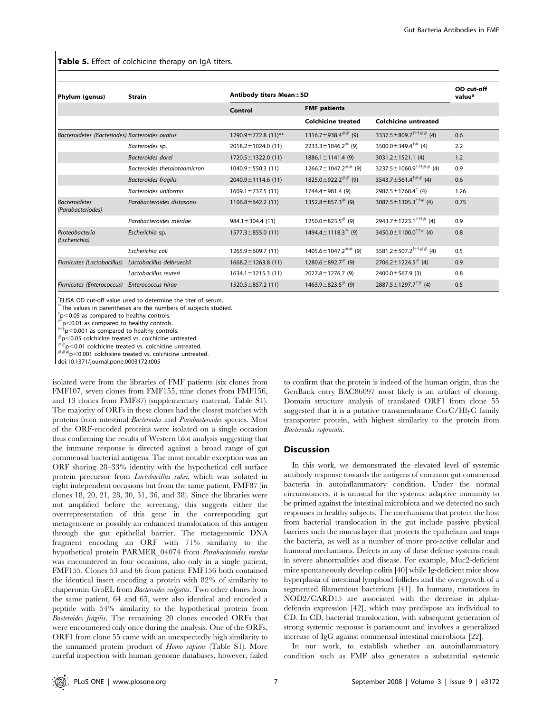Table 5. Effect of colchicine therapy on IgA titers.

| Phylum (genus)                                 | <b>Strain</b>                | Antibody titers Mean±SD  |                                      |                                                  | OD cut-off<br>value* |
|------------------------------------------------|------------------------------|--------------------------|--------------------------------------|--------------------------------------------------|----------------------|
|                                                |                              | Control                  | <b>FMF</b> patients                  |                                                  |                      |
|                                                |                              |                          | <b>Colchicine treated</b>            | <b>Colchicine untreated</b>                      |                      |
| Bacteroidetes (Bacteriodes) Bacteroides ovatus |                              | 1290.9 ± 772.8 (11)**    | $1316.7 \pm 938.4^{+\#}$ (9)         | 3337.5 $\pm$ 809.7 <sup>†††##</sup> (4)          | 0.6                  |
|                                                | Bacteroides sp.              | $2018.2 \pm 1024.0$ (11) | $2233.3 \pm 1046.2^{\#}$ (9)         | $3500.0 \pm 349.4^{\dagger}$ (4)                 | 2.2                  |
|                                                | Bacteroides dorei            | $1720.5 \pm 1322.0$ (11) | $1886.1 \pm 1141.4$ (9)              | $3031.2 \pm 1521.1$ (4)                          | 1.2                  |
|                                                | Bacteroides thetaiotaomicron | $1040.9 \pm 550.3$ (11)  | $1266.7 \pm 1047.2^{\#}\#$ (9)       | $3237.5 \pm 1060.9$ <sup>†††##</sup> (4)         | 0.9                  |
|                                                | <b>Bacteroides fragilis</b>  | $2040.9 \pm 1114.6$ (11) | $1825.0 \pm 922.2$ <sup>##</sup> (9) | 3543.7 ± 561.4 <sup>†##</sup> (4)                | 0.6                  |
|                                                | Bacteroides uniformis        | $1609.1 \pm 737.5$ (11)  | $1744.4 \pm 981.4$ (9)               | $2987.5 \pm 1768.4^{\dagger}$ (4)                | 1.26                 |
| <b>Bacteroidetes</b><br>(Parabacteriodes)      | Parabacteroides distasonis   | 1106.8 $\pm$ 642.2 (11)  | $1352.8 \pm 857.3$ <sup>#</sup> (9)  | $3087.5 \pm 1305.3^{\dagger\dagger\#}$ (4)       | 0.75                 |
|                                                | Parabacteroides merdae       | $984.1 \pm 304.4$ (11)   | $1250.0 \pm 823.5^{\#}$ (9)          | $2943.7 \pm 1223.1$ <sup>†††#</sup> (4)          | 0.9                  |
| Proteobacteria<br>(Escherichia)                | Escherichia sp.              | $1577.3 \pm 855.0$ (11)  | $1494.4 \pm 1118.3^{\#}$ (9)         | 3450.0 $\pm$ 1100.0 <sup>††#</sup> (4)           | 0.8                  |
|                                                | Escherichia coli             | 1265.9 $\pm$ 609.7 (11)  | $1405.6 \pm 1047.2^{\#}\#$ (9)       | $3581.2 \pm 507.2^{\dagger\dagger\dagger}\#$ (4) | 0.5                  |
| Firmicutes (Lactobacillus)                     | Lactobacillus delbrueckii    | $1668.2 \pm 1263.8$ (11) | $1280.6 \pm 892.7$ <sup>#</sup> (9)  | $2706.2 \pm 1224.5^{\#}$ (4)                     | 0.9                  |
|                                                | Lactobacillus reuteri        | $1634.1 \pm 1215.3$ (11) | $2027.8 \pm 1276.7$ (9)              | 2400.0 $\pm$ 567.9 (3)                           | 0.8                  |
| Firmicutes (Enterococcus) Enterococcus hirae   |                              | $1520.5 \pm 857.2$ (11)  | $1463.9 \pm 823.5^{\#}$ (9)          | $2887.5 \pm 1297.7^{\dagger\#}$ (4)              | 0.5                  |

\* ELISA OD cut-off value used to determine the titer of serum.

\*The values in parentheses are the numbers of subjects studied.

 ${\dagger}_{\rm p}$  < 0.05 as compared to healthy controls.

<sup>††</sup>p<0.01 as compared to healthy controls.<br><sup>†††</sup>p<0.001 as compared to healthy controls.<br>#p<0.05 colchicine treated vs. colchicine untreated.<br>##p<0.01 colchicine treated vs. colchicine untreated.<br>###p<0.01 colchicine tre

doi:10.1371/journal.pone.0003172.t005

isolated were from the libraries of FMF patients (six clones from FMF107, seven clones from FMF155, nine clones from FMF156, and 13 clones from FMF87) (supplementary material, Table S1). The majority of ORFs in these clones had the closest matches with proteins from intestinal Bacteroides and Parabacteroides species. Most of the ORF-encoded proteins were isolated on a single occasion thus confirming the results of Western blot analysis suggesting that the immune response is directed against a broad range of gut commensal bacterial antigens. The most notable exception was an ORF sharing 28–33% identity with the hypothetical cell surface protein precursor from Lactobacillus sakei, which was isolated in eight independent occasions but from the same patient, FMF87 (in clones 18, 20, 21, 28, 30, 31, 36, and 38). Since the libraries were not amplified before the screening, this suggests either the overrepresentation of this gene in the corresponding gut metagenome or possibly an enhanced translocation of this antigen through the gut epithelial barrier. The metagenomic DNA fragment encoding an ORF with 71% similarity to the hypothetical protein PARMER\_04074 from Parabacteroides merdae was encountered in four occasions, also only in a single patient, FMF155. Clones 53 and 66 from patient FMF156 both contained the identical insert encoding a protein with 82% of similarity to chaperonin GroEL from Bacteroides vulgatus. Two other clones from the same patient, 64 and 65, were also identical and encoded a peptide with 54% similarity to the hypothetical protein from Bacteroides fragilis. The remaining 20 clones encoded ORFs that were encountered only once during the analysis. One of the ORFs, ORF1 from clone 55 came with an unexpectedly high similarity to the unnamed protein product of Homo sapiens (Table S1). More careful inspection with human genome databases, however, failed

to confirm that the protein is indeed of the human origin, thus the GenBank entry BAC86097 most likely is an artifact of cloning. Domain structure analysis of translated ORF1 from clone 55 suggested that it is a putative transmembrane CorC/HlyC family transporter protein, with highest similarity to the protein from Bacteroides coprocola.

#### **Discussion**

In this work, we demonstrated the elevated level of systemic antibody response towards the antigens of common gut commensal bacteria in autoinflammatory condition. Under the normal circumstances, it is unusual for the systemic adaptive immunity to be primed against the intestinal microbiota and we detected no such responses in healthy subjects. The mechanisms that protect the host from bacterial translocation in the gut include passive physical barriers such the mucus layer that protects the epithelium and traps the bacteria, as well as a number of more pro-active cellular and humoral mechanisms. Defects in any of these defense systems result in severe abnormalities and disease. For example, Muc2-deficient mice spontaneously develop colitis [40] while Ig-deficient mice show hyperplasia of intestinal lymphoid follicles and the overgrowth of a segmented filamentous bacterium [41]. In humans, mutations in NOD2/CARD15 are associated with the decrease in alphadefensin expression [42], which may predispose an individual to CD. In CD, bacterial translocation, with subsequent generation of strong systemic response is paramount and involves a generalized increase of IgG against commensal intestinal microbiota [22].

In our work, to establish whether an autoinflammatory condition such as FMF also generates a substantial systemic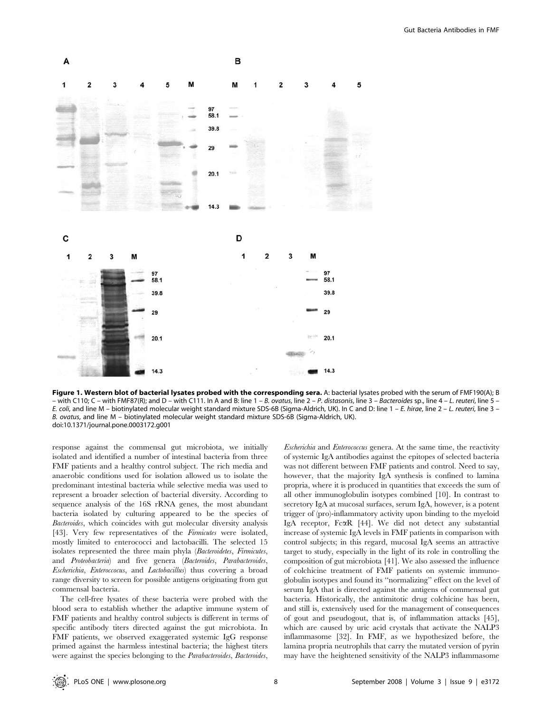

Figure 1. Western blot of bacterial lysates probed with the corresponding sera. A: bacterial lysates probed with the serum of FMF190(A); B with C110; C – with FMF87(R); and D – with C111. In A and B: line 1 – B. ovatus, line 2 – P. distasonis, line 3 – Bacteroides sp., line 4 – L. reuteri, line 5 – E. coli, and line M – biotinylated molecular weight standard mixture SDS-6B (Sigma-Aldrich, UK). In C and D: line 1 – E. hirae, line 2 – L. reuteri, line 3 – B. ovatus, and line M – biotinylated molecular weight standard mixture SDS-6B (Sigma-Aldrich, UK). doi:10.1371/journal.pone.0003172.g001

response against the commensal gut microbiota, we initially isolated and identified a number of intestinal bacteria from three FMF patients and a healthy control subject. The rich media and anaerobic conditions used for isolation allowed us to isolate the predominant intestinal bacteria while selective media was used to represent a broader selection of bacterial diversity. According to sequence analysis of the 16S rRNA genes, the most abundant bacteria isolated by culturing appeared to be the species of Bacteroides, which coincides with gut molecular diversity analysis [43]. Very few representatives of the *Firmicutes* were isolated, mostly limited to enterococci and lactobacilli. The selected 15 isolates represented the three main phyla (Bacteroidetes, Firmicutes, and Proteobacteria) and five genera (Bacteroides, Parabacteroides, Escherichia, Enteroccocus, and Lactobacillus) thus covering a broad range diversity to screen for possible antigens originating from gut commensal bacteria.

The cell-free lysates of these bacteria were probed with the blood sera to establish whether the adaptive immune system of FMF patients and healthy control subjects is different in terms of specific antibody titers directed against the gut microbiota. In FMF patients, we observed exaggerated systemic IgG response primed against the harmless intestinal bacteria; the highest titers were against the species belonging to the Parabacteroides, Bacteroides,

Escherichia and Enterococcus genera. At the same time, the reactivity of systemic IgA antibodies against the epitopes of selected bacteria was not different between FMF patients and control. Need to say, however, that the majority IgA synthesis is confined to lamina propria, where it is produced in quantities that exceeds the sum of all other immunoglobulin isotypes combined [10]. In contrast to secretory IgA at mucosal surfaces, serum IgA, however, is a potent trigger of (pro)-inflammatory activity upon binding to the myeloid IgA receptor,  $Fc\alpha R$  [44]. We did not detect any substantial increase of systemic IgA levels in FMF patients in comparison with control subjects; in this regard, mucosal IgA seems an attractive target to study, especially in the light of its role in controlling the composition of gut microbiota [41]. We also assessed the influence of colchicine treatment of FMF patients on systemic immunoglobulin isotypes and found its ''normalizing'' effect on the level of serum IgA that is directed against the antigens of commensal gut bacteria. Historically, the antimitotic drug colchicine has been, and still is, extensively used for the management of consequences of gout and pseudogout, that is, of inflammation attacks [45], which are caused by uric acid crystals that activate the NALP3 inflammasome [32]. In FMF, as we hypothesized before, the lamina propria neutrophils that carry the mutated version of pyrin may have the heightened sensitivity of the NALP3 inflammasome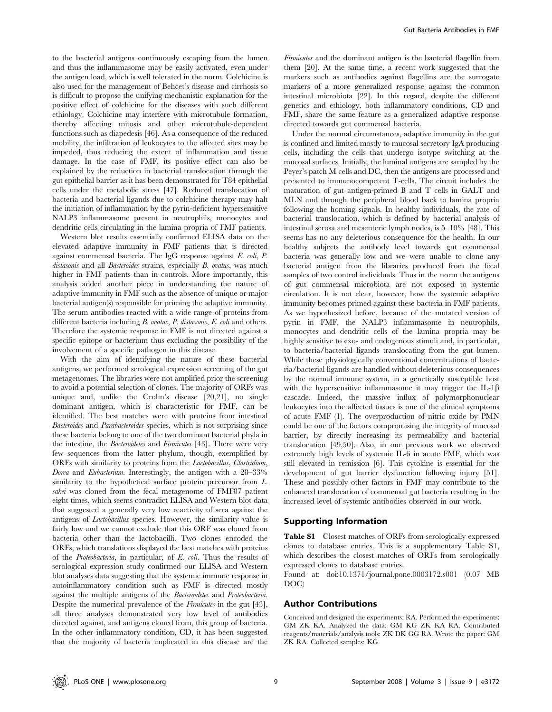to the bacterial antigens continuously escaping from the lumen and thus the inflammasome may be easily activated, even under the antigen load, which is well tolerated in the norm. Colchicine is also used for the management of Behcet's disease and cirrhosis so is difficult to propose the unifying mechanistic explanation for the positive effect of colchicine for the diseases with such different ethiology. Colchicine may interfere with microtubule formation, thereby affecting mitosis and other microtubule-dependent functions such as diapedesis [46]. As a consequence of the reduced mobility, the infiltration of leukocytes to the affected sites may be impeded, thus reducing the extent of inflammation and tissue damage. In the case of FMF, its positive effect can also be explained by the reduction in bacterial translocation through the gut epithelial barrier as it has been demonstrated for T84 epithelial cells under the metabolic stress [47]. Reduced translocation of bacteria and bacterial ligands due to colchicine therapy may halt the initiation of inflammation by the pyrin-deficient hypersensitive NALP3 inflammasome present in neutrophils, monocytes and dendritic cells circulating in the lamina propria of FMF patients.

Western blot results essentially confirmed ELISA data on the elevated adaptive immunity in FMF patients that is directed against commensal bacteria. The IgG response against E. coli, P. distasonis and all Bacteroides strains, especially B. ovatus, was much higher in FMF patients than in controls. More importantly, this analysis added another piece in understanding the nature of adaptive immunity in FMF such as the absence of unique or major bacterial antigen(s) responsible for priming the adaptive immunity. The serum antibodies reacted with a wide range of proteins from different bacteria including B. ovatus, P. distasonis, E. coli and others. Therefore the systemic response in FMF is not directed against a specific epitope or bacterium thus excluding the possibility of the involvement of a specific pathogen in this disease.

With the aim of identifying the nature of these bacterial antigens, we performed serological expression screening of the gut metagenomes. The libraries were not amplified prior the screening to avoid a potential selection of clones. The majority of ORFs was unique and, unlike the Crohn's disease [20,21], no single dominant antigen, which is characteristic for FMF, can be identified. The best matches were with proteins from intestinal Bacteroides and Parabacteroides species, which is not surprising since these bacteria belong to one of the two dominant bacterial phyla in the intestine, the Bacteroidetes and Firmicutes [43]. There were very few sequences from the latter phylum, though, exemplified by ORFs with similarity to proteins from the Lactobacillus, Clostridium, Dorea and Eubacterium. Interestingly, the antigen with a 28–33% similarity to the hypothetical surface protein precursor from  $L$ . sakei was cloned from the fecal metagenome of FMF87 patient eight times, which seems contradict ELISA and Western blot data that suggested a generally very low reactivity of sera against the antigens of Lactobacillus species. However, the similarity value is fairly low and we cannot exclude that this ORF was cloned from bacteria other than the lactobacilli. Two clones encoded the ORFs, which translations displayed the best matches with proteins of the Proteobacteria, in particular, of E. coli. Thus the results of serological expression study confirmed our ELISA and Western blot analyses data suggesting that the systemic immune response in autoinflammatory condition such as FMF is directed mostly against the multiple antigens of the Bacteroidetes and Proteobacteria. Despite the numerical prevalence of the *Firmicutes* in the gut [43], all three analyses demonstrated very low level of antibodies directed against, and antigens cloned from, this group of bacteria. In the other inflammatory condition, CD, it has been suggested that the majority of bacteria implicated in this disease are the

Firmicutes and the dominant antigen is the bacterial flagellin from them [20]. At the same time, a recent work suggested that the markers such as antibodies against flagellins are the surrogate markers of a more generalized response against the common intestinal microbiota [22]. In this regard, despite the different genetics and ethiology, both inflammatory conditions, CD and FMF, share the same feature as a generalized adaptive response directed towards gut commensal bacteria.

Under the normal circumstances, adaptive immunity in the gut is confined and limited mostly to mucosal secretory IgA producing cells, including the cells that undergo isotype switching at the mucosal surfaces. Initially, the luminal antigens are sampled by the Peyer's patch M cells and DC, then the antigens are processed and presented to immunocompetent T-cells. The circuit includes the maturation of gut antigen-primed B and T cells in GALT and MLN and through the peripheral blood back to lamina propria following the homing signals. In healthy individuals, the rate of bacterial translocation, which is defined by bacterial analysis of intestinal serosa and mesenteric lymph nodes, is 5–10% [48]. This seems has no any deleterious consequence for the health. In our healthy subjects the antibody level towards gut commensal bacteria was generally low and we were unable to clone any bacterial antigen from the libraries produced from the fecal samples of two control individuals. Thus in the norm the antigens of gut commensal microbiota are not exposed to systemic circulation. It is not clear, however, how the systemic adaptive immunity becomes primed against these bacteria in FMF patients. As we hypothesized before, because of the mutated version of pyrin in FMF, the NALP3 inflammasome in neutrophils, monocytes and dendritic cells of the lamina propria may be highly sensitive to exo- and endogenous stimuli and, in particular, to bacteria/bacterial ligands translocating from the gut lumen. While these physiologically conventional concentrations of bacteria/bacterial ligands are handled without deleterious consequences by the normal immune system, in a genetically susceptible host with the hypersensitive inflammasome it may trigger the IL-1 $\beta$ cascade. Indeed, the massive influx of polymorphonuclear leukocytes into the affected tissues is one of the clinical symptoms of acute FMF (1). The overproduction of nitric oxide by PMN could be one of the factors compromising the integrity of mucosal barrier, by directly increasing its permeability and bacterial translocation [49,50]. Also, in our previous work we observed extremely high levels of systemic IL-6 in acute FMF, which was still elevated in remission [6]. This cytokine is essential for the development of gut barrier dysfunction following injury [51]. These and possibly other factors in FMF may contribute to the enhanced translocation of commensal gut bacteria resulting in the increased level of systemic antibodies observed in our work.

#### Supporting Information

Table S1 Closest matches of ORFs from serologically expressed clones to database entries. This is a supplementary Table S1, which describes the closest matches of ORFs from serologically expressed clones to database entries.

Found at: doi:10.1371/journal.pone.0003172.s001 (0.07 MB DOC)

# Author Contributions

Conceived and designed the experiments: RA. Performed the experiments: GM ZK KA. Analyzed the data: GM KG ZK KA RA. Contributed reagents/materials/analysis tools: ZK DK GG RA. Wrote the paper: GM ZK RA. Collected samples: KG.